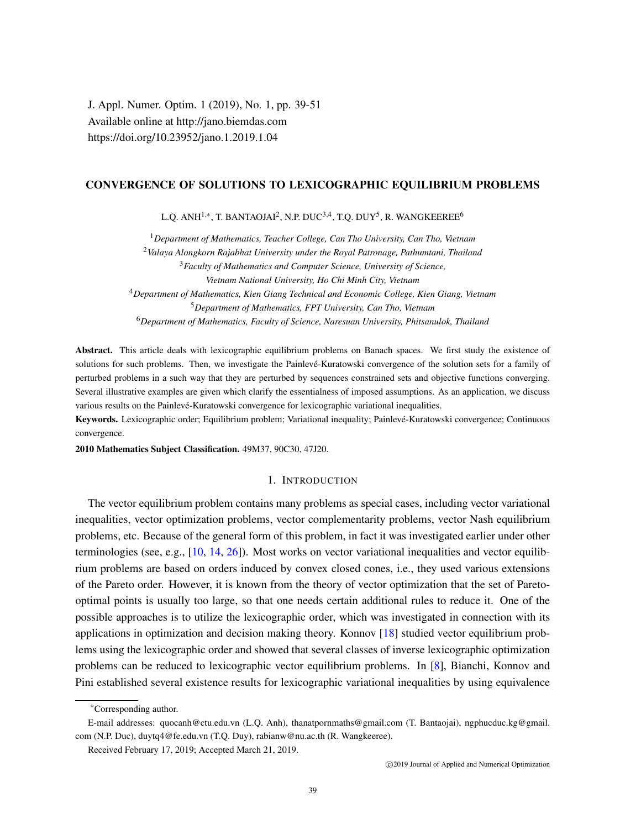J. Appl. Numer. Optim. 1 (2019), No. 1, pp. 39-51 Available online at http://jano.biemdas.com https://doi.org/10.23952/jano.1.2019.1.04

## CONVERGENCE OF SOLUTIONS TO LEXICOGRAPHIC EQUILIBRIUM PROBLEMS

L.Q. ANH $^{1,\ast}$ , T. BANTAOJAI $^{2}$ , N.P. DUC $^{3,4}$ , T.Q. DUY $^{5}$ , R. WANGKEEREE $^{6}$ 

*Department of Mathematics, Teacher College, Can Tho University, Can Tho, Vietnam Valaya Alongkorn Rajabhat University under the Royal Patronage, Pathumtani, Thailand Faculty of Mathematics and Computer Science, University of Science, Vietnam National University, Ho Chi Minh City, Vietnam Department of Mathematics, Kien Giang Technical and Economic College, Kien Giang, Vietnam Department of Mathematics, FPT University, Can Tho, Vietnam Department of Mathematics, Faculty of Science, Naresuan University, Phitsanulok, Thailand*

Abstract. This article deals with lexicographic equilibrium problems on Banach spaces. We first study the existence of solutions for such problems. Then, we investigate the Painlevé-Kuratowski convergence of the solution sets for a family of perturbed problems in a such way that they are perturbed by sequences constrained sets and objective functions converging. Several illustrative examples are given which clarify the essentialness of imposed assumptions. As an application, we discuss various results on the Painlevé-Kuratowski convergence for lexicographic variational inequalities.

Keywords. Lexicographic order; Equilibrium problem; Variational inequality; Painlevé-Kuratowski convergence; Continuous convergence.

2010 Mathematics Subject Classification. 49M37, 90C30, 47J20.

### 1. INTRODUCTION

The vector equilibrium problem contains many problems as special cases, including vector variational inequalities, vector optimization problems, vector complementarity problems, vector Nash equilibrium problems, etc. Because of the general form of this problem, in fact it was investigated earlier under other terminologies (see, e.g.,  $[10, 14, 26]$  $[10, 14, 26]$  $[10, 14, 26]$  $[10, 14, 26]$  $[10, 14, 26]$ ). Most works on vector variational inequalities and vector equilibrium problems are based on orders induced by convex closed cones, i.e., they used various extensions of the Pareto order. However, it is known from the theory of vector optimization that the set of Paretooptimal points is usually too large, so that one needs certain additional rules to reduce it. One of the possible approaches is to utilize the lexicographic order, which was investigated in connection with its applications in optimization and decision making theory. Konnov [\[18\]](#page-12-3) studied vector equilibrium problems using the lexicographic order and showed that several classes of inverse lexicographic optimization problems can be reduced to lexicographic vector equilibrium problems. In [\[8\]](#page-11-0), Bianchi, Konnov and Pini established several existence results for lexicographic variational inequalities by using equivalence

<sup>∗</sup>Corresponding author.

E-mail addresses: quocanh@ctu.edu.vn (L.Q. Anh), thanatpornmaths@gmail.com (T. Bantaojai), ngphucduc.kg@gmail. com (N.P. Duc), duytq4@fe.edu.vn (T.Q. Duy), rabianw@nu.ac.th (R. Wangkeeree).

Received February 17, 2019; Accepted March 21, 2019.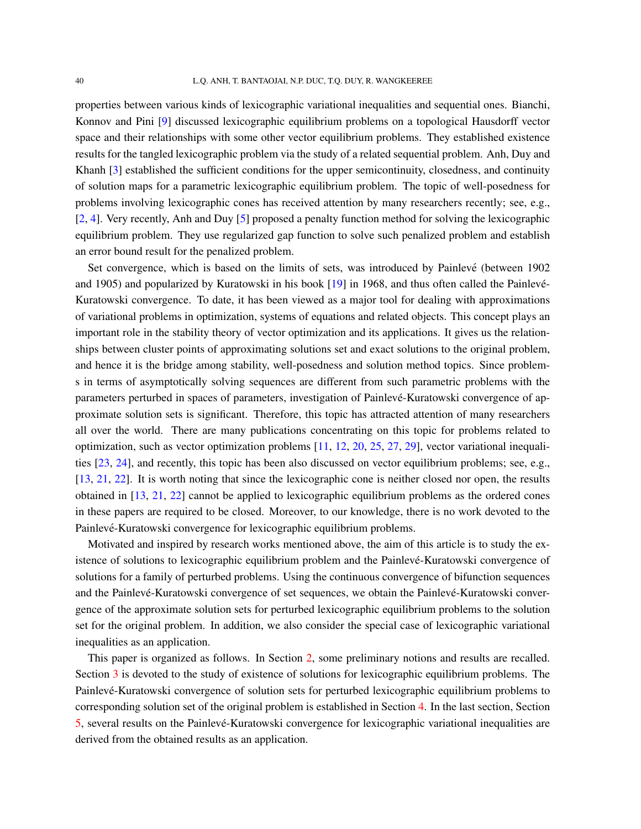properties between various kinds of lexicographic variational inequalities and sequential ones. Bianchi, Konnov and Pini [\[9\]](#page-12-4) discussed lexicographic equilibrium problems on a topological Hausdorff vector space and their relationships with some other vector equilibrium problems. They established existence results for the tangled lexicographic problem via the study of a related sequential problem. Anh, Duy and Khanh [\[3\]](#page-11-1) established the sufficient conditions for the upper semicontinuity, closedness, and continuity of solution maps for a parametric lexicographic equilibrium problem. The topic of well-posedness for problems involving lexicographic cones has received attention by many researchers recently; see, e.g., [\[2,](#page-11-2) [4\]](#page-11-3). Very recently, Anh and Duy [\[5\]](#page-11-4) proposed a penalty function method for solving the lexicographic equilibrium problem. They use regularized gap function to solve such penalized problem and establish an error bound result for the penalized problem.

Set convergence, which is based on the limits of sets, was introduced by Painlevé (between 1902 and 1905) and popularized by Kuratowski in his book [\[19\]](#page-12-5) in 1968, and thus often called the Painlevé-Kuratowski convergence. To date, it has been viewed as a major tool for dealing with approximations of variational problems in optimization, systems of equations and related objects. This concept plays an important role in the stability theory of vector optimization and its applications. It gives us the relationships between cluster points of approximating solutions set and exact solutions to the original problem, and hence it is the bridge among stability, well-posedness and solution method topics. Since problems in terms of asymptotically solving sequences are different from such parametric problems with the parameters perturbed in spaces of parameters, investigation of Painlevé-Kuratowski convergence of approximate solution sets is significant. Therefore, this topic has attracted attention of many researchers all over the world. There are many publications concentrating on this topic for problems related to optimization, such as vector optimization problems [\[11,](#page-12-6) [12,](#page-12-7) [20,](#page-12-8) [25,](#page-12-9) [27,](#page-12-10) [29\]](#page-12-11), vector variational inequalities [\[23,](#page-12-12) [24\]](#page-12-13), and recently, this topic has been also discussed on vector equilibrium problems; see, e.g., [\[13,](#page-12-14) [21,](#page-12-15) [22\]](#page-12-16). It is worth noting that since the lexicographic cone is neither closed nor open, the results obtained in [\[13,](#page-12-14) [21,](#page-12-15) [22\]](#page-12-16) cannot be applied to lexicographic equilibrium problems as the ordered cones in these papers are required to be closed. Moreover, to our knowledge, there is no work devoted to the Painlevé-Kuratowski convergence for lexicographic equilibrium problems.

Motivated and inspired by research works mentioned above, the aim of this article is to study the existence of solutions to lexicographic equilibrium problem and the Painlevé-Kuratowski convergence of solutions for a family of perturbed problems. Using the continuous convergence of bifunction sequences and the Painlevé-Kuratowski convergence of set sequences, we obtain the Painlevé-Kuratowski convergence of the approximate solution sets for perturbed lexicographic equilibrium problems to the solution set for the original problem. In addition, we also consider the special case of lexicographic variational inequalities as an application.

This paper is organized as follows. In Section [2,](#page-2-0) some preliminary notions and results are recalled. Section [3](#page-5-0) is devoted to the study of existence of solutions for lexicographic equilibrium problems. The Painlevé-Kuratowski convergence of solution sets for perturbed lexicographic equilibrium problems to corresponding solution set of the original problem is established in Section [4.](#page-7-0) In the last section, Section [5,](#page-11-5) several results on the Painlevé-Kuratowski convergence for lexicographic variational inequalities are derived from the obtained results as an application.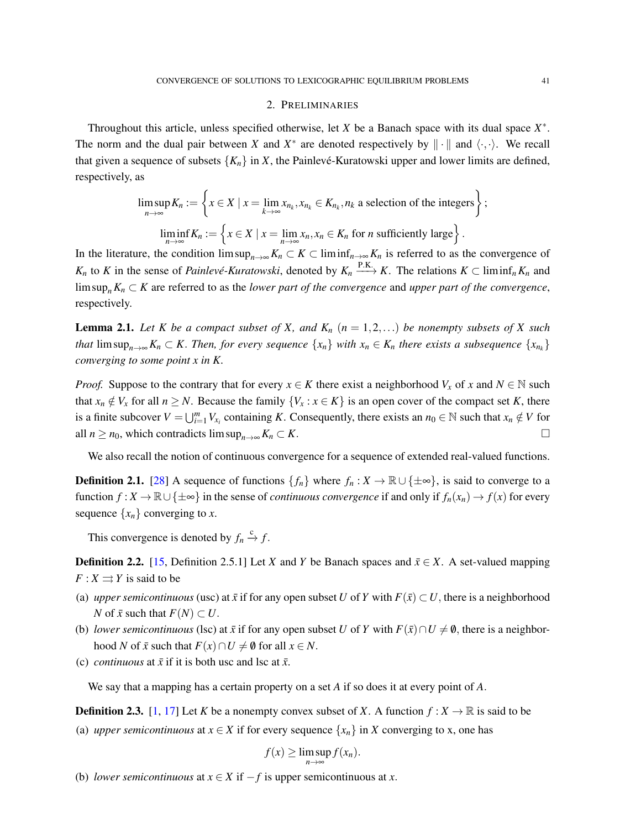### 2. PRELIMINARIES

<span id="page-2-0"></span>Throughout this article, unless specified otherwise, let  $X$  be a Banach space with its dual space  $X^*$ . The norm and the dual pair between *X* and  $X^*$  are denoted respectively by  $\|\cdot\|$  and  $\langle \cdot, \cdot \rangle$ . We recall that given a sequence of subsets  ${K_n}$  in *X*, the Painlevé-Kuratowski upper and lower limits are defined, respectively, as

$$
\limsup_{n \to \infty} K_n := \left\{ x \in X \mid x = \lim_{k \to \infty} x_{n_k}, x_{n_k} \in K_{n_k}, n_k \text{ a selection of the integers} \right\};
$$
  

$$
\liminf_{n \to \infty} K_n := \left\{ x \in X \mid x = \lim_{n \to \infty} x_n, x_n \in K_n \text{ for } n \text{ sufficiently large} \right\}.
$$

In the literature, the condition  $\limsup_{n\to\infty} K_n \subset K \subset \liminf_{n\to\infty} K_n$  is referred to as the convergence of *K<sub>n</sub>* to *K* in the sense of *Painlevé-Kuratowski*, denoted by  $K_n \xrightarrow{P.K.} K$ . The relations  $K \subset \liminf_n K_n$  and lim sup*nK<sup>n</sup>* ⊂ *K* are referred to as the *lower part of the convergence* and *upper part of the convergence*, respectively.

<span id="page-2-1"></span>**Lemma 2.1.** Let K be a compact subset of X, and  $K_n$   $(n = 1, 2, ...)$  be nonempty subsets of X such *that*  $\limsup_{n\to\infty} K_n \subset K$ . Then, for every sequence  $\{x_n\}$  with  $x_n \in K_n$  there exists a subsequence  $\{x_{n_k}\}$ *converging to some point x in K.*

*Proof.* Suppose to the contrary that for every  $x \in K$  there exist a neighborhood  $V_x$  of  $x$  and  $N \in \mathbb{N}$  such that  $x_n \notin V_x$  for all  $n \geq N$ . Because the family  $\{V_x : x \in K\}$  is an open cover of the compact set *K*, there is a finite subcover  $V = \bigcup_{i=1}^{m} V_{x_i}$  containing K. Consequently, there exists an  $n_0 \in \mathbb{N}$  such that  $x_n \notin V$  for all  $n \geq n_0$ , which contradicts  $\limsup_{n \to \infty} K_n \subset K$ .

We also recall the notion of continuous convergence for a sequence of extended real-valued functions.

**Definition 2.1.** [\[28\]](#page-12-17) A sequence of functions  $\{f_n\}$  where  $f_n: X \to \mathbb{R} \cup \{\pm \infty\}$ , is said to converge to a function  $f: X \to \mathbb{R} \cup \{\pm \infty\}$  in the sense of *continuous convergence* if and only if  $f_n(x_n) \to f(x)$  for every sequence  $\{x_n\}$  converging to *x*.

This convergence is denoted by  $f_n \xrightarrow{c} f$ .

**Definition 2.2.** [\[15,](#page-12-18) Definition 2.5.1] Let *X* and *Y* be Banach spaces and  $\bar{x} \in X$ . A set-valued mapping  $F: X \rightrightarrows Y$  is said to be

- (a) *upper semicontinuous* (usc) at  $\bar{x}$  if for any open subset *U* of *Y* with  $F(\bar{x}) \subset U$ , there is a neighborhood *N* of  $\bar{x}$  such that  $F(N)$  ⊂ *U*.
- (b) *lower semicontinuous* (lsc) at  $\bar{x}$  if for any open subset *U* of *Y* with  $F(\bar{x}) \cap U \neq \emptyset$ , there is a neighborhood *N* of  $\bar{x}$  such that  $F(x) \cap U \neq \emptyset$  for all  $x \in N$ .
- (c) *continuous* at  $\bar{x}$  if it is both usc and lsc at  $\bar{x}$ .

We say that a mapping has a certain property on a set *A* if so does it at every point of *A*.

**Definition 2.3.** [\[1,](#page-11-6) [17\]](#page-12-19) Let *K* be a nonempty convex subset of *X*. A function  $f: X \to \mathbb{R}$  is said to be

(a) *upper semicontinuous* at  $x \in X$  if for every sequence  $\{x_n\}$  in X converging to x, one has

$$
f(x) \geq \limsup_{n \to \infty} f(x_n).
$$

(b) *lower semicontinuous* at  $x \in X$  if  $-f$  is upper semicontinuous at *x*.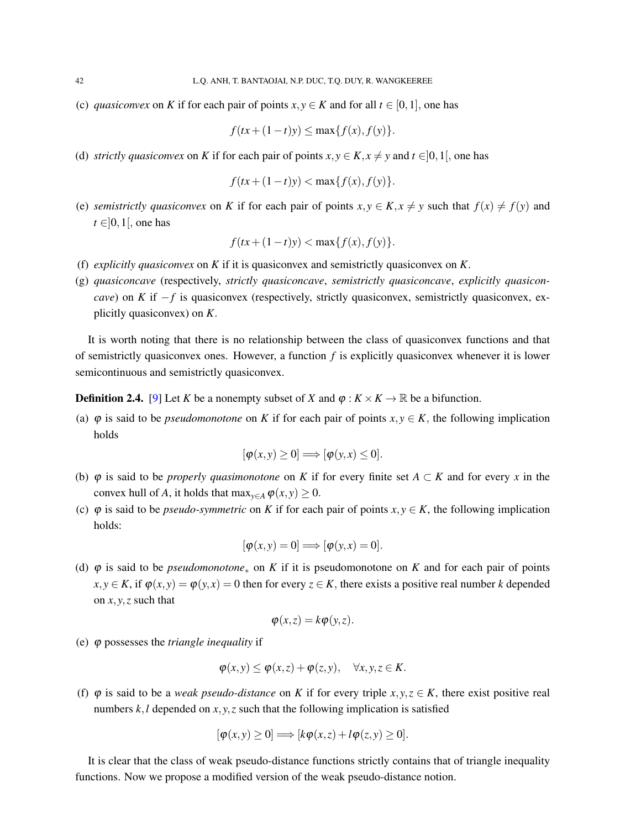(c) *quasiconvex* on *K* if for each pair of points  $x, y \in K$  and for all  $t \in [0, 1]$ , one has

$$
f(tx+(1-t)y) \le \max\{f(x), f(y)\}.
$$

(d) *strictly quasiconvex* on *K* if for each pair of points  $x, y \in K$ ,  $x \neq y$  and  $t \in ]0,1[$ , one has

$$
f(tx + (1-t)y) < \max\{f(x), f(y)\}.
$$

(e) *semistrictly quasiconvex* on *K* if for each pair of points  $x, y \in K, x \neq y$  such that  $f(x) \neq f(y)$  and  $t \in ]0,1[$ , one has

$$
f(tx + (1-t)y) < \max\{f(x), f(y)\}.
$$

- (f) *explicitly quasiconvex* on *K* if it is quasiconvex and semistrictly quasiconvex on *K*.
- (g) *quasiconcave* (respectively, *strictly quasiconcave*, *semistrictly quasiconcave*, *explicitly quasiconcave*) on *K* if −*f* is quasiconvex (respectively, strictly quasiconvex, semistrictly quasiconvex, explicitly quasiconvex) on *K*.

It is worth noting that there is no relationship between the class of quasiconvex functions and that of semistrictly quasiconvex ones. However, a function *f* is explicitly quasiconvex whenever it is lower semicontinuous and semistrictly quasiconvex.

**Definition 2.4.** [\[9\]](#page-12-4) Let *K* be a nonempty subset of *X* and  $\varphi : K \times K \to \mathbb{R}$  be a bifunction.

(a)  $\varphi$  is said to be *pseudomonotone* on *K* if for each pair of points  $x, y \in K$ , the following implication holds

$$
[\varphi(x,y)\geq 0]\Longrightarrow [\varphi(y,x)\leq 0].
$$

- (b)  $\varphi$  is said to be *properly quasimonotone* on *K* if for every finite set *A* ⊂ *K* and for every *x* in the convex hull of *A*, it holds that  $\max_{y \in A} \varphi(x, y) \geq 0$ .
- (c)  $\varphi$  is said to be *pseudo-symmetric* on *K* if for each pair of points  $x, y \in K$ , the following implication holds:

$$
[\varphi(x,y)=0] \Longrightarrow [\varphi(y,x)=0].
$$

(d)  $\varphi$  is said to be *pseudomonotone<sub>\*</sub>* on *K* if it is pseudomonotone on *K* and for each pair of points  $x, y \in K$ , if  $\varphi(x, y) = \varphi(y, x) = 0$  then for every  $z \in K$ , there exists a positive real number *k* depended on *x*, *y*,*z* such that

$$
\varphi(x,z) = k\varphi(y,z).
$$

(e) ϕ possesses the *triangle inequality* if

$$
\varphi(x,y) \leq \varphi(x,z) + \varphi(z,y), \quad \forall x, y, z \in K.
$$

(f)  $\varphi$  is said to be a *weak pseudo-distance* on *K* if for every triple *x*, *y*, *z*  $\in$  *K*, there exist positive real numbers  $k, l$  depended on  $x, y, z$  such that the following implication is satisfied

$$
[\varphi(x,y)\geq 0]\Longrightarrow [k\varphi(x,z)+l\varphi(z,y)\geq 0].
$$

It is clear that the class of weak pseudo-distance functions strictly contains that of triangle inequality functions. Now we propose a modified version of the weak pseudo-distance notion.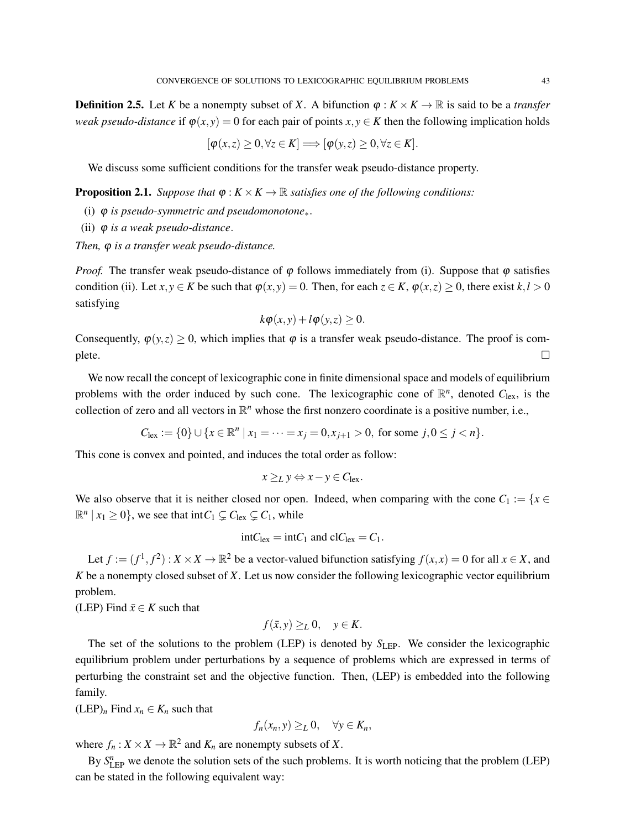**Definition 2.5.** Let *K* be a nonempty subset of *X*. A bifunction  $\varphi : K \times K \to \mathbb{R}$  is said to be a *transfer weak pseudo-distance* if  $\varphi(x, y) = 0$  for each pair of points  $x, y \in K$  then the following implication holds

$$
[\varphi(x,z) \geq 0, \forall z \in K] \Longrightarrow [\varphi(y,z) \geq 0, \forall z \in K].
$$

We discuss some sufficient conditions for the transfer weak pseudo-distance property.

**Proposition 2.1.** *Suppose that*  $\varphi: K \times K \to \mathbb{R}$  *satisfies one of the following conditions:* 

- (i) ϕ *is pseudo-symmetric and pseudomonotone*∗.
- (ii) ϕ *is a weak pseudo-distance*.

*Then,* **φ** *is a transfer weak pseudo-distance.* 

*Proof.* The transfer weak pseudo-distance of  $\varphi$  follows immediately from (i). Suppose that  $\varphi$  satisfies condition (ii). Let  $x, y \in K$  be such that  $\varphi(x, y) = 0$ . Then, for each  $z \in K$ ,  $\varphi(x, z) \ge 0$ , there exist  $k, l > 0$ satisfying

$$
k\varphi(x,y)+l\varphi(y,z)\geq 0.
$$

Consequently,  $\varphi(y, z) \ge 0$ , which implies that  $\varphi$  is a transfer weak pseudo-distance. The proof is com- $\Box$ 

We now recall the concept of lexicographic cone in finite dimensional space and models of equilibrium problems with the order induced by such cone. The lexicographic cone of  $\mathbb{R}^n$ , denoted  $C_{\text{lex}}$ , is the collection of zero and all vectors in  $\mathbb{R}^n$  whose the first nonzero coordinate is a positive number, i.e.,

$$
C_{\text{lex}} := \{0\} \cup \{x \in \mathbb{R}^n \mid x_1 = \dots = x_j = 0, x_{j+1} > 0, \text{ for some } j, 0 \le j < n\}.
$$

This cone is convex and pointed, and induces the total order as follow:

$$
x \geq_L y \Leftrightarrow x - y \in C_{\text{lex}}.
$$

We also observe that it is neither closed nor open. Indeed, when comparing with the cone  $C_1 := \{x \in$  $\mathbb{R}^n | x_1 \geq 0$ , we see that int $C_1 \subsetneq C_{\text{lex}} \subsetneq C_1$ , while

$$
intC_{\text{lex}} = intC_1 \text{ and } clC_{\text{lex}} = C_1.
$$

Let  $f := (f^1, f^2) : X \times X \to \mathbb{R}^2$  be a vector-valued bifunction satisfying  $f(x, x) = 0$  for all  $x \in X$ , and *K* be a nonempty closed subset of *X*. Let us now consider the following lexicographic vector equilibrium problem.

(LEP) Find  $\bar{x} \in K$  such that

$$
f(\bar{x}, y) \geq_L 0, \quad y \in K.
$$

The set of the solutions to the problem (LEP) is denoted by  $S_{\text{LEP}}$ . We consider the lexicographic equilibrium problem under perturbations by a sequence of problems which are expressed in terms of perturbing the constraint set and the objective function. Then, (LEP) is embedded into the following family.

 $(LEP)<sub>n</sub>$  Find  $x<sub>n</sub> \in K<sub>n</sub>$  such that

$$
f_n(x_n, y) \geq_L 0, \quad \forall y \in K_n,
$$

where  $f_n: X \times X \to \mathbb{R}^2$  and  $K_n$  are nonempty subsets of X.

By  $S_{\text{LEP}}^n$  we denote the solution sets of the such problems. It is worth noticing that the problem (LEP) can be stated in the following equivalent way: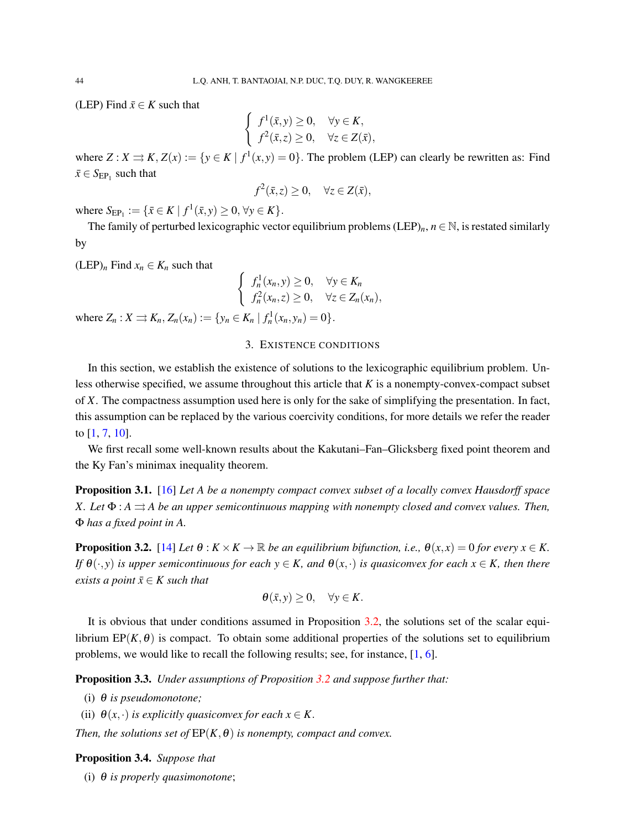(LEP) Find  $\bar{x} \in K$  such that

$$
\begin{cases}\nf^1(\bar{x}, y) \ge 0, & \forall y \in K, \\
f^2(\bar{x}, z) \ge 0, & \forall z \in Z(\bar{x}),\n\end{cases}
$$

where  $Z: X \rightrightarrows K$ ,  $Z(x) := \{y \in K \mid f^1(x, y) = 0\}$ . The problem (LEP) can clearly be rewritten as: Find  $\bar{x} \in S_{\text{EP}_1}$  such that

$$
f^2(\bar{x}, z) \ge 0, \quad \forall z \in Z(\bar{x}),
$$

where  $S_{\text{EP}_1} := \{ \bar{x} \in K \mid f^1(\bar{x}, y) \ge 0, \forall y \in K \}.$ 

The family of perturbed lexicographic vector equilibrium problems (LEP)<sub>*n*</sub>,  $n \in \mathbb{N}$ , is restated similarly by

 $(LEP)<sub>n</sub>$  Find  $x<sub>n</sub> \in K<sub>n</sub>$  such that

$$
\begin{cases}\nf_n^1(x_n, y) \ge 0, & \forall y \in K_n \\
f_n^2(x_n, z) \ge 0, & \forall z \in Z_n(x_n),\n\end{cases}
$$

<span id="page-5-0"></span>where  $Z_n: X \to K_n, Z_n(x_n) := \{y_n \in K_n \mid f_n^1(x_n, y_n) = 0\}.$ 

## 3. EXISTENCE CONDITIONS

In this section, we establish the existence of solutions to the lexicographic equilibrium problem. Unless otherwise specified, we assume throughout this article that *K* is a nonempty-convex-compact subset of *X*. The compactness assumption used here is only for the sake of simplifying the presentation. In fact, this assumption can be replaced by the various coercivity conditions, for more details we refer the reader to [\[1,](#page-11-6) [7,](#page-11-7) [10\]](#page-12-0).

We first recall some well-known results about the Kakutani–Fan–Glicksberg fixed point theorem and the Ky Fan's minimax inequality theorem.

<span id="page-5-2"></span>Proposition 3.1. [\[16\]](#page-12-20) *Let A be a nonempty compact convex subset of a locally convex Hausdorff space X.* Let  $\Phi$ :  $A \rightrightarrows A$  be an upper semicontinuous mapping with nonempty closed and convex values. Then, Φ *has a fixed point in A.*

<span id="page-5-1"></span>**Proposition 3.2.** [\[14\]](#page-12-1) *Let*  $\theta$  :  $K \times K \to \mathbb{R}$  *be an equilibrium bifunction, i.e.,*  $\theta(x, x) = 0$  *for every*  $x \in K$ . *If*  $\theta(\cdot, y)$  *is upper semicontinuous for each*  $y \in K$ *, and*  $\theta(x, \cdot)$  *is quasiconvex for each*  $x \in K$ *, then there exists a point*  $\bar{x} \in K$  *such that* 

$$
\theta(\bar{x}, y) \ge 0, \quad \forall y \in K.
$$

It is obvious that under conditions assumed in Proposition [3.2,](#page-5-1) the solutions set of the scalar equilibrium  $EP(K, \theta)$  is compact. To obtain some additional properties of the solutions set to equilibrium problems, we would like to recall the following results; see, for instance, [\[1,](#page-11-6) [6\]](#page-11-8).

Proposition 3.3. *Under assumptions of Proposition [3.2](#page-5-1) and suppose further that:*

- (i) θ *is pseudomonotone;*
- (ii)  $\theta(x, \cdot)$  *is explicitly quasiconvex for each*  $x \in K$ .

*Then, the solutions set of*  $EP(K, \theta)$  *is nonempty, compact and convex.* 

<span id="page-5-3"></span>Proposition 3.4. *Suppose that*

(i) θ *is properly quasimonotone*;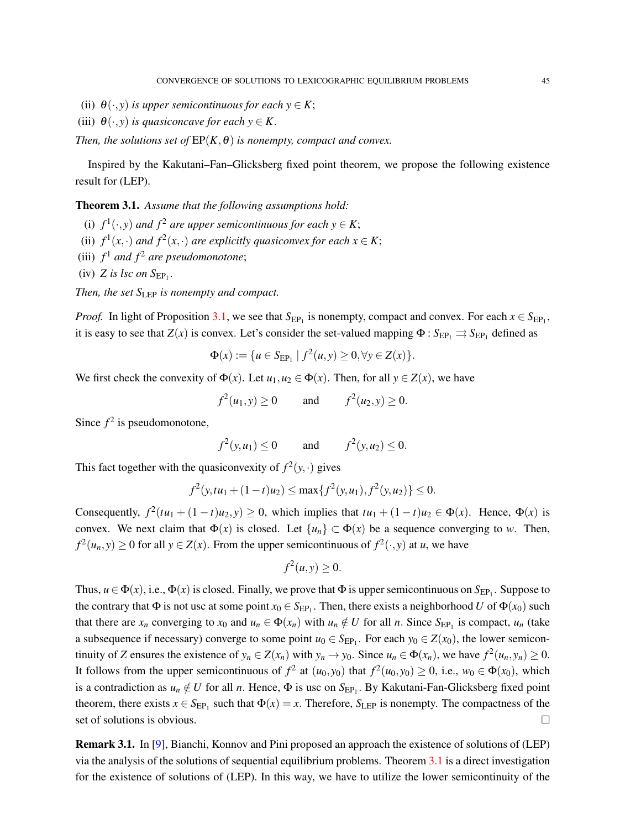- (ii)  $\theta(\cdot, y)$  *is upper semicontinuous for each*  $y \in K$ ;
- (iii)  $\theta(\cdot, y)$  *is quasiconcave for each*  $y \in K$ .

*Then, the solutions set of*  $EP(K, \theta)$  *is nonempty, compact and convex.* 

Inspired by the Kakutani–Fan–Glicksberg fixed point theorem, we propose the following existence result for (LEP).

<span id="page-6-0"></span>Theorem 3.1. *Assume that the following assumptions hold:*

- (i)  $f^1(\cdot, y)$  and  $f^2$  are upper semicontinuous for each  $y \in K$ ;
- (ii)  $f^1(x, \cdot)$  *and*  $f^2(x, \cdot)$  *are explicitly quasiconvex for each*  $x \in K$ ;
- (iii)  $f^1$  and  $f^2$  are pseudomonotone;
- $(iv)$  *Z is lsc on*  $S_{EP_1}$ .

*Then, the set*  $S_{\text{LEP}}$  *is nonempty and compact.* 

*Proof.* In light of Proposition [3.1,](#page-5-2) we see that  $S_{EP_1}$  is nonempty, compact and convex. For each  $x \in S_{EP_1}$ , it is easy to see that  $Z(x)$  is convex. Let's consider the set-valued mapping  $\Phi: S_{EP_1} \to S_{EP_1}$  defined as

$$
\Phi(x) := \{ u \in S_{\mathrm{EP}_1} \mid f^2(u, y) \ge 0, \forall y \in Z(x) \}.
$$

We first check the convexity of  $\Phi(x)$ . Let  $u_1, u_2 \in \Phi(x)$ . Then, for all  $y \in Z(x)$ , we have

$$
f^{2}(u_{1}, y) \ge 0
$$
 and  $f^{2}(u_{2}, y) \ge 0$ .

Since  $f^2$  is pseudomonotone,

$$
f^{2}(y, u_{1}) \le 0
$$
 and  $f^{2}(y, u_{2}) \le 0$ .

This fact together with the quasiconvexity of  $f^2(y, \cdot)$  gives

$$
f^{2}(y,tu_{1}+(1-t)u_{2}) \leq \max\{f^{2}(y,u_{1}),f^{2}(y,u_{2})\} \leq 0.
$$

Consequently,  $f^2(tu_1 + (1-t)u_2, y) \ge 0$ , which implies that  $tu_1 + (1-t)u_2 \in \Phi(x)$ . Hence,  $\Phi(x)$  is convex. We next claim that  $\Phi(x)$  is closed. Let  $\{u_n\} \subset \Phi(x)$  be a sequence converging to *w*. Then,  $f^2(u_n, y) \ge 0$  for all  $y \in Z(x)$ . From the upper semicontinuous of  $f^2(\cdot, y)$  at *u*, we have

$$
f^2(u, y) \ge 0.
$$

Thus,  $u \in \Phi(x)$ , i.e.,  $\Phi(x)$  is closed. Finally, we prove that  $\Phi$  is upper semicontinuous on  $S_{EP_1}$ . Suppose to the contrary that  $\Phi$  is not usc at some point  $x_0 \in S_{EP_1}$ . Then, there exists a neighborhood *U* of  $\Phi(x_0)$  such that there are  $x_n$  converging to  $x_0$  and  $u_n \in \Phi(x_n)$  with  $u_n \notin U$  for all *n*. Since  $S_{EP_1}$  is compact,  $u_n$  (take a subsequence if necessary) converge to some point  $u_0 \in S_{EP_1}$ . For each  $y_0 \in Z(x_0)$ , the lower semicontinuity of Z ensures the existence of  $y_n \in Z(x_n)$  with  $y_n \to y_0$ . Since  $u_n \in \Phi(x_n)$ , we have  $f^2(u_n, y_n) \ge 0$ . It follows from the upper semicontinuous of  $f^2$  at  $(u_0, y_0)$  that  $f^2(u_0, y_0) \ge 0$ , i.e.,  $w_0 \in \Phi(x_0)$ , which is a contradiction as  $u_n \notin U$  for all *n*. Hence,  $\Phi$  is usc on  $S_{EP_1}$ . By Kakutani-Fan-Glicksberg fixed point theorem, there exists  $x \in S_{EP_1}$  such that  $\Phi(x) = x$ . Therefore,  $S_{LEP}$  is nonempty. The compactness of the set of solutions is obvious.

Remark 3.1. In [\[9\]](#page-12-4), Bianchi, Konnov and Pini proposed an approach the existence of solutions of (LEP) via the analysis of the solutions of sequential equilibrium problems. Theorem [3.1](#page-6-0) is a direct investigation for the existence of solutions of (LEP). In this way, we have to utilize the lower semicontinuity of the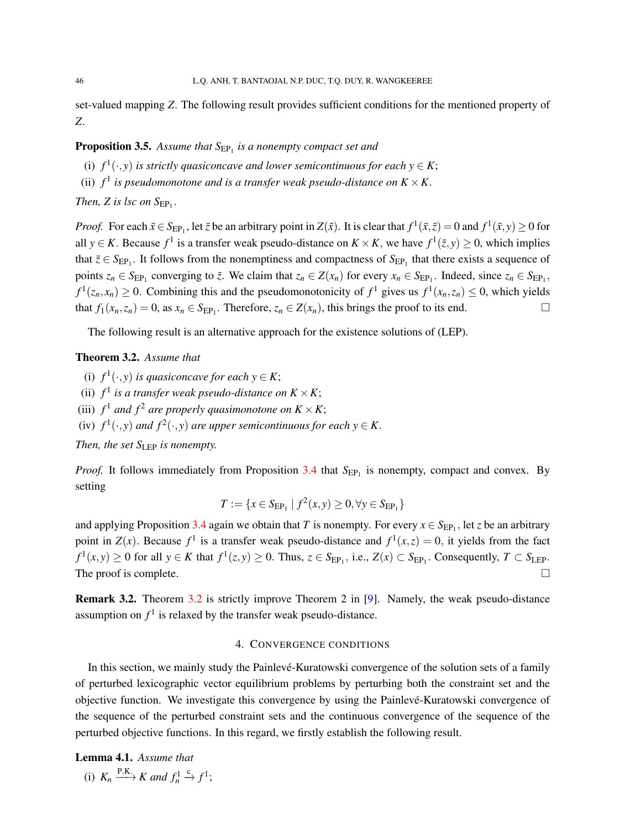set-valued mapping *Z*. The following result provides sufficient conditions for the mentioned property of *Z*.

# <span id="page-7-2"></span>**Proposition 3.5.** Assume that  $S_{EP_1}$  is a nonempty compact set and

(i)  $f^1(\cdot, y)$  *is strictly quasiconcave and lower semicontinuous for each*  $y \in K$ ;

(ii)  $f^1$  *is pseudomonotone and is a transfer weak pseudo-distance on*  $K \times K$ .

*Then, Z is lsc on*  $S_{EP_1}$ .

*Proof.* For each  $\bar{x} \in S_{EP_1}$ , let  $\bar{z}$  be an arbitrary point in  $Z(\bar{x})$ . It is clear that  $f^1(\bar{x}, \bar{z}) = 0$  and  $f^1(\bar{x}, y) \ge 0$  for all  $y \in K$ . Because  $f^1$  is a transfer weak pseudo-distance on  $K \times K$ , we have  $f^1(\bar{z}, y) \ge 0$ , which implies that  $\bar{z} \in S_{EP_1}$ . It follows from the nonemptiness and compactness of  $S_{EP_1}$  that there exists a sequence of points  $z_n \in S_{EP_1}$  converging to  $\overline{z}$ . We claim that  $z_n \in Z(x_n)$  for every  $x_n \in S_{EP_1}$ . Indeed, since  $z_n \in S_{EP_1}$ ,  $f^1(z_n, x_n) \ge 0$ . Combining this and the pseudomonotonicity of  $f^1$  gives us  $f^1(x_n, z_n) \le 0$ , which yields that  $f_1(x_n, z_n) = 0$ , as  $x_n \in S_{EP_1}$ . Therefore,  $z_n \in Z(x_n)$ , this brings the proof to its end.

The following result is an alternative approach for the existence solutions of (LEP).

## <span id="page-7-1"></span>Theorem 3.2. *Assume that*

- (i)  $f^1(\cdot, y)$  *is quasiconcave for each*  $y \in K$ ;
- (ii)  $f^1$  *is a transfer weak pseudo-distance on*  $K \times K$ ;
- (iii)  $f^1$  and  $f^2$  are properly quasimonotone on  $K \times K$ ;
- (iv)  $f^1(\cdot, y)$  and  $f^2(\cdot, y)$  are upper semicontinuous for each  $y \in K$ .

*Then, the set*  $S_{\text{LEP}}$  *is nonempty.* 

*Proof.* It follows immediately from Proposition [3.4](#page-5-3) that  $S_{EP_1}$  is nonempty, compact and convex. By setting

$$
T := \{ x \in S_{\rm EP_1} \mid f^2(x, y) \ge 0, \forall y \in S_{\rm EP_1} \}
$$

and applying Proposition [3.4](#page-5-3) again we obtain that *T* is nonempty. For every  $x \in S_{EP_1}$ , let *z* be an arbitrary point in  $Z(x)$ . Because  $f^1$  is a transfer weak pseudo-distance and  $f^1(x, z) = 0$ , it yields from the fact  $f^1(x, y) \ge 0$  for all  $y \in K$  that  $f^1(z, y) \ge 0$ . Thus,  $z \in S_{\text{EP}_1}$ , i.e.,  $Z(x) \subset S_{\text{EP}_1}$ . Consequently,  $T \subset S_{\text{LEP}}$ . The proof is complete.  $\Box$ 

Remark 3.2. Theorem [3.2](#page-7-1) is strictly improve Theorem 2 in [\[9\]](#page-12-4). Namely, the weak pseudo-distance assumption on  $f<sup>1</sup>$  is relaxed by the transfer weak pseudo-distance.

## 4. CONVERGENCE CONDITIONS

<span id="page-7-0"></span>In this section, we mainly study the Painlevé-Kuratowski convergence of the solution sets of a family of perturbed lexicographic vector equilibrium problems by perturbing both the constraint set and the objective function. We investigate this convergence by using the Painlevé-Kuratowski convergence of the sequence of the perturbed constraint sets and the continuous convergence of the sequence of the perturbed objective functions. In this regard, we firstly establish the following result.

#### Lemma 4.1. *Assume that*

(i) 
$$
K_n \xrightarrow{\text{P.K.}} K
$$
 and  $f_n^1 \xrightarrow{c} f^1$ ;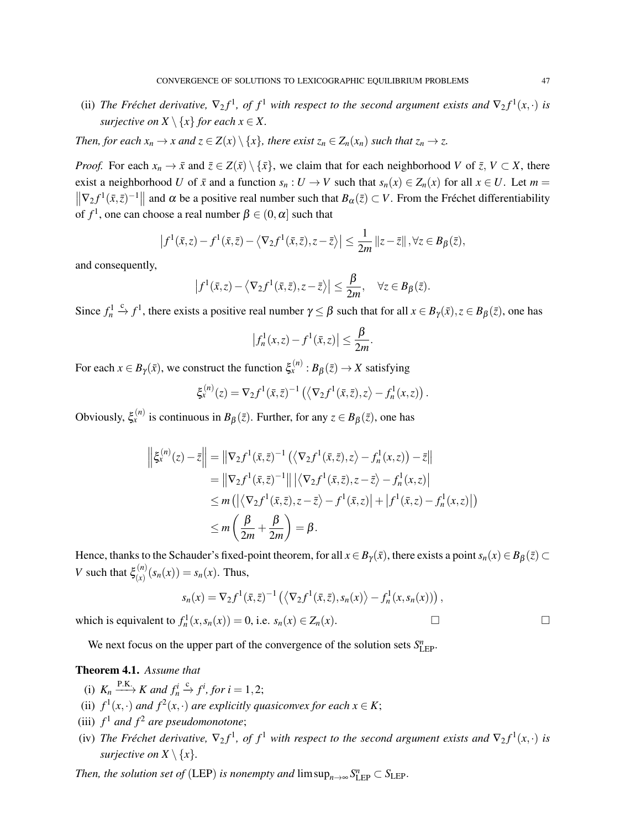(ii) The Fréchet derivative,  $\nabla_2 f^1$ , of  $f^1$  with respect to the second argument exists and  $\nabla_2 f^1(x, \cdot)$  is *surjective on*  $X \setminus \{x\}$  *for each*  $x \in X$ .

*Then, for each*  $x_n \to x$  *and*  $z \in Z(x) \setminus \{x\}$ *, there exist*  $z_n \in Z_n(x_n)$  *such that*  $z_n \to z$ *.* 

*Proof.* For each  $x_n \to \bar{x}$  and  $\bar{z} \in Z(\bar{x}) \setminus {\bar{x}}$ , we claim that for each neighborhood *V* of  $\bar{z}$ ,  $V \subset X$ , there exist a neighborhood *U* of  $\bar{x}$  and a function  $s_n : U \to V$  such that  $s_n(x) \in Z_n(x)$  for all  $x \in U$ . Let  $m =$  $\|\nabla_2 f^1(\bar{x}, \bar{z})^{-1}\|$  and  $\alpha$  be a positive real number such that  $B_\alpha(\bar{z}) \subset V$ . From the Fréchet differentiability of  $f^1$ , one can choose a real number  $\beta \in (0,\alpha]$  such that

$$
\left|f^1(\bar{x}, z) - f^1(\bar{x}, \bar{z}) - \langle \nabla_2 f^1(\bar{x}, \bar{z}), z - \bar{z} \rangle \right| \leq \frac{1}{2m} \left\| z - \bar{z} \right\|, \forall z \in B_{\beta}(\bar{z}),
$$

and consequently,

$$
\left|f^1(\bar{x}, z) - \langle \nabla_2 f^1(\bar{x}, \bar{z}), z - \bar{z} \rangle\right| \leq \frac{\beta}{2m}, \quad \forall z \in B_{\beta}(\bar{z}).
$$

Since  $f_n^1 \stackrel{c}{\to} f^1$ , there exists a positive real number  $\gamma \leq \beta$  such that for all  $x \in B_{\gamma}(\bar{x}), z \in B_{\beta}(\bar{z})$ , one has

$$
\left|f_n^1(x,z) - f^1(\bar{x},z)\right| \le \frac{\beta}{2m}
$$

.

For each  $x \in B_{\gamma}(\bar{x})$ , we construct the function  $\xi_x^{(n)} : B_{\beta}(\bar{z}) \to X$  satisfying

$$
\xi_x^{(n)}(z) = \nabla_2 f^1(\bar{x}, \bar{z})^{-1} \left( \left\langle \nabla_2 f^1(\bar{x}, \bar{z}), z \right\rangle - f_n^1(x, z) \right).
$$

Obviously,  $\xi_x^{(n)}$  is continuous in  $B_\beta(\bar{z})$ . Further, for any  $z \in B_\beta(\bar{z})$ , one has

$$
\left\| \xi_x^{(n)}(z) - \bar{z} \right\| = \left\| \nabla_2 f^1(\bar{x}, \bar{z})^{-1} \left( \left\langle \nabla_2 f^1(\bar{x}, \bar{z}), z \right\rangle - f_n^1(x, z) \right) - \bar{z} \right\|
$$
  
\n
$$
= \left\| \nabla_2 f^1(\bar{x}, \bar{z})^{-1} \right\| \left| \left\langle \nabla_2 f^1(\bar{x}, \bar{z}), z - \bar{z} \right\rangle - f_n^1(x, z) \right|
$$
  
\n
$$
\leq m \left( \left| \left\langle \nabla_2 f^1(\bar{x}, \bar{z}), z - \bar{z} \right\rangle - f^1(\bar{x}, z) \right| + \left| f^1(\bar{x}, z) - f_n^1(x, z) \right| \right)
$$
  
\n
$$
\leq m \left( \frac{\beta}{2m} + \frac{\beta}{2m} \right) = \beta.
$$

Hence, thanks to the Schauder's fixed-point theorem, for all  $x \in B_{\gamma}(\bar{x})$ , there exists a point  $s_n(x) \in B_{\beta}(\bar{z})$ *V* such that  $\xi_{(x)}^{(n)}$  $\binom{n}{x}(s_n(x)) = s_n(x)$ . Thus,

$$
s_n(x) = \nabla_2 f^1(\bar{x}, \bar{z})^{-1} \left( \langle \nabla_2 f^1(\bar{x}, \bar{z}), s_n(x) \rangle - f_n^1(x, s_n(x)) \right),
$$

which is equivalent to  $f_n^1(x, s_n(x)) = 0$ , i.e.  $s_n(x) \in Z_n(x)$ .

We next focus on the upper part of the convergence of the solution sets  $S_{\text{LEP}}^n$ .

## <span id="page-8-1"></span>Theorem 4.1. *Assume that*

- (i)  $K_n \xrightarrow{\text{P.K.}} K$  and  $f_n^i \xrightarrow{c} f^i$ , for  $i = 1, 2$ ;
- (ii)  $f^1(x, \cdot)$  *and*  $f^2(x, \cdot)$  *are explicitly quasiconvex for each*  $x \in K$ ;
- (iii)  $f^1$  and  $f^2$  are pseudomonotone;
- <span id="page-8-0"></span>(iv) The Fréchet derivative,  $\nabla_2 f^1$ , of  $f^1$  with respect to the second argument exists and  $\nabla_2 f^1(x, \cdot)$  is *surjective on*  $X \setminus \{x\}$ *.*

*Then, the solution set of* (LEP) *is nonempty and*  $\limsup_{n\to\infty} S_{\text{LEP}}^n \subset S_{\text{LEP}}$ .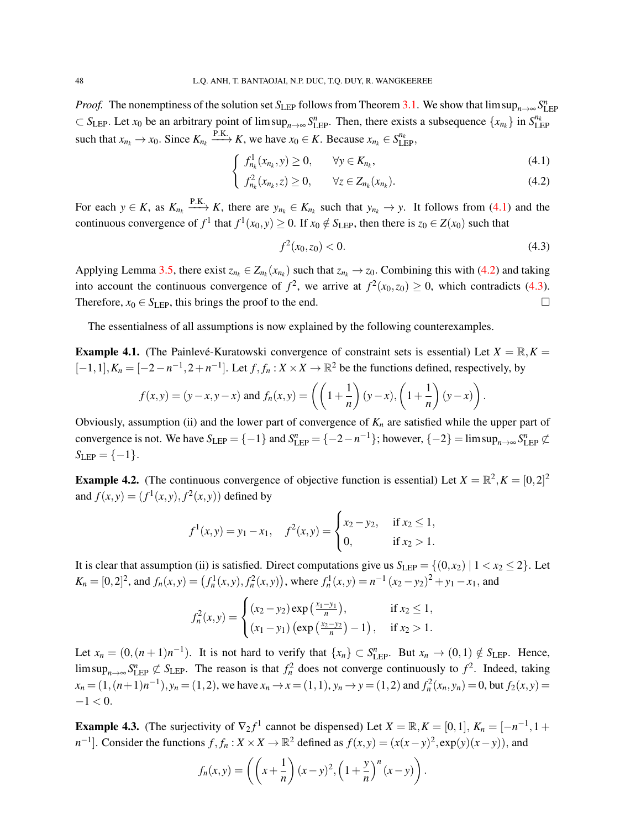*Proof.* The nonemptiness of the solution set  $S_{LEP}$  follows from Theorem [3.1.](#page-6-0) We show that  $\limsup_{n\to\infty} S_{LEP}^n$  $\subset S_{\text{LEP}}$ . Let  $x_0$  be an arbitrary point of lim sup<sub>*n*→∞</sub>  $S_{\text{LEP}}^n$ . Then, there exists a subsequence  $\{x_{n_k}\}\$ in  $S_{\text{LEP}}^{n_k}$ such that  $x_{n_k} \to x_0$ . Since  $K_{n_k} \xrightarrow{P.K.} K$ , we have  $x_0 \in K$ . Because  $x_{n_k} \in S_{\text{LEP}}^{n_k}$ ,

$$
\int f_{n_k}^1(x_{n_k}, y) \ge 0, \qquad \forall y \in K_{n_k}, \tag{4.1}
$$

$$
\left\{\n\begin{array}{ll}\nf_{n_k}^2(x_{n_k},z) \geq 0, & \forall z \in Z_{n_k}(x_{n_k}).\n\end{array}\n\right.
$$
\n(4.2)

For each  $y \in K$ , as  $K_{n_k} \xrightarrow{P.K.} K$ , there are  $y_{n_k} \in K_{n_k}$  such that  $y_{n_k} \to y$ . It follows from [\(4.1\)](#page-8-0) and the continuous convergence of  $f^1$  that  $f^1(x_0, y) \ge 0$ . If  $x_0 \notin S_{\text{LEP}}$ , then there is  $z_0 \in Z(x_0)$  such that

<span id="page-9-0"></span>
$$
f^2(x_0, z_0) < 0. \tag{4.3}
$$

Applying Lemma [3.5,](#page-7-2) there exist  $z_{n_k} \in Z_{n_k}(x_{n_k})$  such that  $z_{n_k} \to z_0$ . Combining this with [\(4.2\)](#page-8-0) and taking into account the continuous convergence of  $f^2$ , we arrive at  $f^2(x_0, z_0) \ge 0$ , which contradicts [\(4.3\)](#page-9-0). Therefore,  $x_0 \in S_{\text{LEP}}$ , this brings the proof to the end.

The essentialness of all assumptions is now explained by the following counterexamples.

**Example 4.1.** (The Painlevé-Kuratowski convergence of constraint sets is essential) Let  $X = \mathbb{R}, K =$  $[-1,1], K_n = [-2 - n^{-1}, 2 + n^{-1}]$ . Let  $f, f_n : X \times X \to \mathbb{R}^2$  be the functions defined, respectively, by

$$
f(x,y) = (y-x, y-x) \text{ and } f_n(x,y) = \left( \left(1 + \frac{1}{n}\right)(y-x), \left(1 + \frac{1}{n}\right)(y-x) \right).
$$

Obviously, assumption (ii) and the lower part of convergence of  $K_n$  are satisfied while the upper part of convergence is not. We have  $S_{\text{LEP}} = \{-1\}$  and  $S_{\text{LEP}}^n = \{-2 - n^{-1}\}$ ; however,  $\{-2\} = \limsup_{n \to \infty} S_{\text{LEP}}^n \not\subset$  $S_{\text{LEP}} = \{-1\}.$ 

**Example 4.2.** (The continuous convergence of objective function is essential) Let  $X = \mathbb{R}^2, K = [0, 2]^2$ and  $f(x, y) = (f^{1}(x, y), f^{2}(x, y))$  defined by

$$
f^1(x,y) = y_1 - x_1
$$
,  $f^2(x,y) = \begin{cases} x_2 - y_2, & \text{if } x_2 \le 1, \\ 0, & \text{if } x_2 > 1. \end{cases}$ 

It is clear that assumption (ii) is satisfied. Direct computations give us  $S_{\text{LEP}} = \{(0, x_2) | 1 < x_2 \le 2\}$ . Let  $K_n = [0,2]^2$ , and  $f_n(x,y) = (f_n^1(x,y), f_n^2(x,y))$ , where  $f_n^1(x,y) = n^{-1}(x_2 - y_2)^2 + y_1 - x_1$ , and

$$
f_n^2(x,y) = \begin{cases} (x_2 - y_2) \exp\left(\frac{x_1 - y_1}{n}\right), & \text{if } x_2 \le 1, \\ (x_1 - y_1) \left(\exp\left(\frac{x_2 - y_2}{n}\right) - 1\right), & \text{if } x_2 > 1. \end{cases}
$$

Let  $x_n = (0, (n+1)n^{-1})$ . It is not hard to verify that  $\{x_n\} \subset S_{\text{LEP}}^n$ . But  $x_n \to (0,1) \notin S_{\text{LEP}}$ . Hence,  $\limsup_{n\to\infty} S_{\text{LEP}}^n \not\subset S_{\text{LEP}}$ . The reason is that  $f_n^2$  does not converge continuously to  $f^2$ . Indeed, taking  $x_n = (1, (n+1)n^{-1}), y_n = (1, 2)$ , we have  $x_n \to x = (1, 1), y_n \to y = (1, 2)$  and  $f_n^2(x_n, y_n) = 0$ , but  $f_2(x, y) =$  $-1 < 0$ .

**Example 4.3.** (The surjectivity of  $\nabla_2 f^1$  cannot be dispensed) Let  $X = \mathbb{R}, K = [0,1], K_n = [-n^{-1}, 1 +$  $n^{-1}$ . Consider the functions  $f, f_n : X \times X \to \mathbb{R}^2$  defined as  $f(x, y) = (x(x - y)^2, \exp(y)(x - y))$ , and

$$
f_n(x,y) = \left( \left( x + \frac{1}{n} \right) (x - y)^2, \left( 1 + \frac{y}{n} \right)^n (x - y) \right).
$$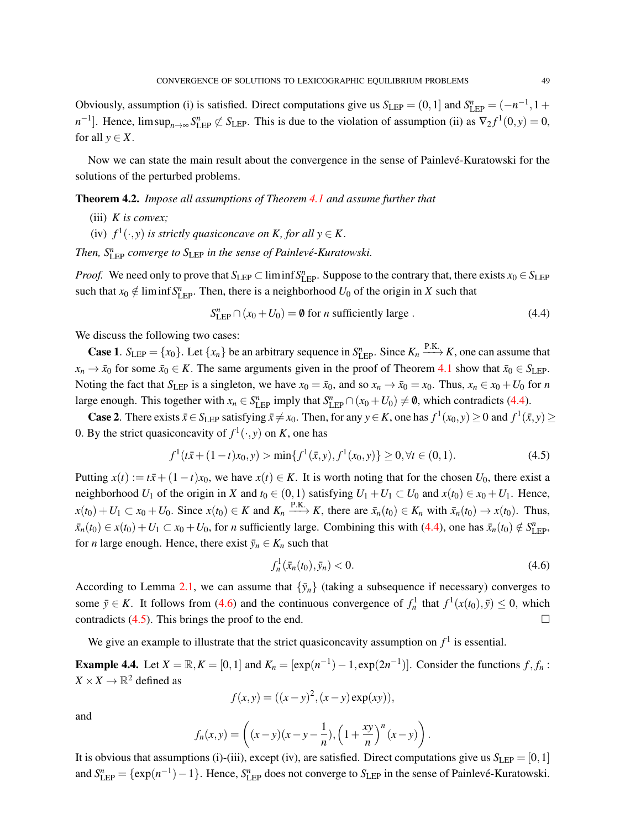Obviously, assumption (i) is satisfied. Direct computations give us  $S_{\text{LEP}} = (0,1]$  and  $S_{\text{LEP}}^n = (-n^{-1}, 1 +$  $n^{-1}$ . Hence,  $\limsup_{n\to\infty} S_{\text{LEP}}^n \not\subset S_{\text{LEP}}$ . This is due to the violation of assumption (ii) as  $\nabla_2 f^1(0, y) = 0$ , for all  $y \in X$ .

Now we can state the main result about the convergence in the sense of Painlevé-Kuratowski for the solutions of the perturbed problems.

Theorem 4.2. *Impose all assumptions of Theorem [4.1](#page-8-1) and assume further that*

- (iii) *K is convex;*
- (iv)  $f^1(\cdot, y)$  *is strictly quasiconcave on K, for all*  $y \in K$ .

*Then,*  $S_{\text{LEP}}^n$  *converge to*  $S_{\text{LEP}}$  *in the sense of Painlevé-Kuratowski.* 

*Proof.* We need only to prove that  $S_{\text{LEP}} \subset \liminf S_{\text{LEP}}^n$ . Suppose to the contrary that, there exists  $x_0 \in S_{\text{LEP}}$ such that  $x_0 \notin \liminf S^n_{\text{LEP}}$ . Then, there is a neighborhood  $U_0$  of the origin in *X* such that

<span id="page-10-0"></span>
$$
S_{\text{LEP}}^n \cap (x_0 + U_0) = \emptyset \text{ for } n \text{ sufficiently large }.
$$
 (4.4)

We discuss the following two cases:

**Case 1.**  $S_{\text{LEP}} = \{x_0\}$ . Let  $\{x_n\}$  be an arbitrary sequence in  $S_{\text{LEP}}^n$ . Since  $K_n \xrightarrow{\text{P.K.}} K$ , one can assume that  $x_n \to \bar{x}_0$  for some  $\bar{x}_0 \in K$ . The same arguments given in the proof of Theorem [4.1](#page-8-1) show that  $\bar{x}_0 \in S_{\text{LEP}}$ . Noting the fact that *S*<sub>LEP</sub> is a singleton, we have  $x_0 = \bar{x}_0$ , and so  $x_n \to \bar{x}_0 = x_0$ . Thus,  $x_n \in x_0 + U_0$  for *n* large enough. This together with  $x_n \in S^n_{\text{LEP}}$  imply that  $S^n_{\text{LEP}} \cap (x_0 + U_0) \neq \emptyset$ , which contradicts [\(4.4\)](#page-10-0).

**Case 2**. There exists  $\bar{x} \in S_{\text{LEP}}$  satisfying  $\bar{x} \neq x_0$ . Then, for any  $y \in K$ , one has  $f^1(x_0, y) \geq 0$  and  $f^1(\bar{x}, y) \geq 0$ 0. By the strict quasiconcavity of  $f^1(\cdot, y)$  on *K*, one has

<span id="page-10-2"></span>
$$
f^{1}(t\bar{x} + (1-t)x_{0}, y) > \min\{f^{1}(\bar{x}, y), f^{1}(x_{0}, y)\} \ge 0, \forall t \in (0, 1).
$$
 (4.5)

Putting  $x(t) := t\bar{x} + (1-t)x_0$ , we have  $x(t) \in K$ . It is worth noting that for the chosen  $U_0$ , there exist a neighborhood *U*<sub>1</sub> of the origin in *X* and  $t_0 \in (0,1)$  satisfying  $U_1 + U_1 \subset U_0$  and  $x(t_0) \in x_0 + U_1$ . Hence,  $x(t_0) + U_1 \subset x_0 + U_0$ . Since  $x(t_0) \in K$  and  $K_n \xrightarrow{P.K.} K$ , there are  $\bar{x}_n(t_0) \in K_n$  with  $\bar{x}_n(t_0) \to x(t_0)$ . Thus,  $\bar{x}_n(t_0) \in x(t_0) + U_1 \subset x_0 + U_0$ , for *n* sufficiently large. Combining this with [\(4.4\)](#page-10-0), one has  $\bar{x}_n(t_0) \notin S^n_{\text{LEP}}$ , for *n* large enough. Hence, there exist  $\bar{y}_n \in K_n$  such that

<span id="page-10-1"></span>
$$
f_n^1(\bar{x}_n(t_0), \bar{y}_n) < 0. \tag{4.6}
$$

According to Lemma [2.1,](#page-2-1) we can assume that  $\{\bar{y}_n\}$  (taking a subsequence if necessary) converges to some  $\bar{y} \in K$ . It follows from [\(4.6\)](#page-10-1) and the continuous convergence of  $f_n^1$  that  $f^1(x(t_0), \bar{y}) \le 0$ , which contradicts [\(4.5\)](#page-10-2). This brings the proof to the end.

We give an example to illustrate that the strict quasiconcavity assumption on  $f<sup>1</sup>$  is essential.

**Example 4.4.** Let  $X = \mathbb{R}, K = [0, 1]$  and  $K_n = [\exp(n^{-1}) - 1, \exp(2n^{-1})]$ . Consider the functions  $f, f_n$ :  $X \times X \to \mathbb{R}^2$  defined as

$$
f(x, y) = ((x - y)^2, (x - y) \exp(xy)),
$$

and

$$
f_n(x, y) = \left( (x - y)(x - y - \frac{1}{n}), \left( 1 + \frac{xy}{n} \right)^n (x - y) \right).
$$

It is obvious that assumptions (i)-(iii), except (iv), are satisfied. Direct computations give us  $S_{\text{LEP}} = [0,1]$ and  $S_{\text{LEP}}^n = \{ \exp(n^{-1}) - 1 \}$ . Hence,  $S_{\text{LEP}}^n$  does not converge to  $S_{\text{LEP}}$  in the sense of Painlevé-Kuratowski.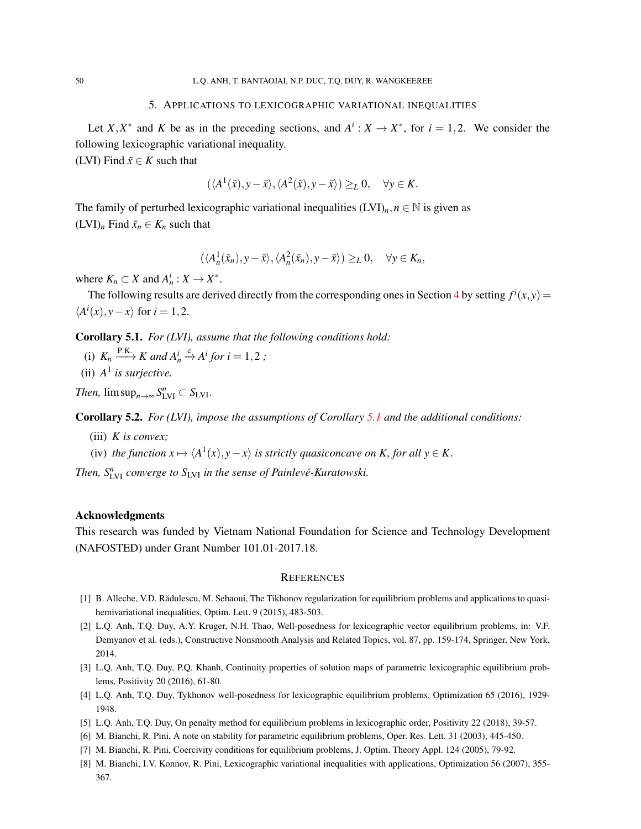### 5. APPLICATIONS TO LEXICOGRAPHIC VARIATIONAL INEQUALITIES

<span id="page-11-5"></span>Let *X*,*X*<sup>\*</sup> and *K* be as in the preceding sections, and  $A^i$ :  $X \to X^*$ , for  $i = 1, 2$ . We consider the following lexicographic variational inequality.

(LVI) Find  $\bar{x} \in K$  such that

$$
(\langle A^1(\bar{x}), y-\bar{x}\rangle, \langle A^2(\bar{x}), y-\bar{x}\rangle) \geq_L 0, \quad \forall y \in K.
$$

The family of perturbed lexicographic variational inequalities  $(LVI)_n, n \in \mathbb{N}$  is given as  $(LVI)<sub>n</sub>$  Find  $\bar{x}<sub>n</sub> \in K<sub>n</sub>$  such that

$$
(\langle A_n^1(\bar{x}_n), y - \bar{x} \rangle, \langle A_n^2(\bar{x}_n), y - \bar{x} \rangle) \geq_L 0, \quad \forall y \in K_n,
$$

where  $K_n \subset X$  and  $A_n^i : X \to X^*$ .

The following results are derived directly from the corresponding ones in Section [4](#page-7-0) by setting  $f^i(x, y) =$  $\langle A^i(x), y - x \rangle$  for *i* = 1,2.

<span id="page-11-9"></span>Corollary 5.1. *For (LVI), assume that the following conditions hold:*

- (i)  $K_n \xrightarrow{\text{P.K.}} K$  and  $A_n^i \xrightarrow{c} A^i$  for  $i = 1, 2$ ;
- (ii)  $A^1$  *is surjective.*

*Then,*  $\limsup_{n\to\infty} S_{\text{LVI}}^n \subset S_{\text{LVI}}$ .

Corollary 5.2. *For (LVI), impose the assumptions of Corollary [5.1](#page-11-9) and the additional conditions:*

- (iii) *K is convex;*
- (iv) the function  $x \mapsto \langle A^1(x), y x \rangle$  is strictly quasiconcave on K, for all  $y \in K$ .

*Then,*  $S_{\text{LVI}}^n$  *converge to*  $S_{\text{LVI}}$  *in the sense of Painlevé-Kuratowski.* 

### Acknowledgments

This research was funded by Vietnam National Foundation for Science and Technology Development (NAFOSTED) under Grant Number 101.01-2017.18.

### **REFERENCES**

- <span id="page-11-6"></span>[1] B. Alleche, V.D. Radulescu, M. Sebaoui, The Tikhonov regularization for equilibrium problems and applications to quasi- ˘ hemivariational inequalities, Optim. Lett. 9 (2015), 483-503.
- <span id="page-11-2"></span>[2] L.Q. Anh, T.Q. Duy, A.Y. Kruger, N.H. Thao, Well-posedness for lexicographic vector equilibrium problems, in: V.F. Demyanov et al. (eds.), Constructive Nonsmooth Analysis and Related Topics, vol. 87, pp. 159-174, Springer, New York, 2014.
- <span id="page-11-1"></span>[3] L.Q. Anh, T.Q. Duy, P.Q. Khanh, Continuity properties of solution maps of parametric lexicographic equilibrium problems, Positivity 20 (2016), 61-80.
- <span id="page-11-3"></span>[4] L.Q. Anh, T.Q. Duy, Tykhonov well-posedness for lexicographic equilibrium problems, Optimization 65 (2016), 1929- 1948.
- <span id="page-11-4"></span>[5] L.Q. Anh, T.Q. Duy, On penalty method for equilibrium problems in lexicographic order, Positivity 22 (2018), 39-57.
- <span id="page-11-8"></span>[6] M. Bianchi, R. Pini, A note on stability for parametric equilibrium problems, Oper. Res. Lett. 31 (2003), 445-450.
- <span id="page-11-7"></span>[7] M. Bianchi, R. Pini, Coercivity conditions for equilibrium problems, J. Optim. Theory Appl. 124 (2005), 79-92.
- <span id="page-11-0"></span>[8] M. Bianchi, I.V. Konnov, R. Pini, Lexicographic variational inequalities with applications, Optimization 56 (2007), 355- 367.